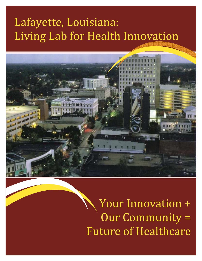# Lafayette, Louisiana: Living Lab for Health Innovation



Your Innovation + Our Community = Future of Healthcare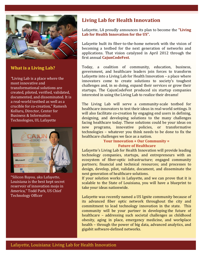

### **What is a Living Lab?**

*"*Living Lab is a place where the most innovative and transformational solutions are created, piloted, verified, validated, documented, and disseminated. It is a real-world testbed as well as a crucible for co-creation," Ramesh Kolluru, Director, Center for Business & Information Technologies, UL Lafayette



"Silicon Bayou, aka Lafayette, Louisiana is the best kept secret reservoir of innovation mojo in America," Todd Park, US Chief Technology Officer

# **Living Lab for Health Innovation**

Lafayette, LA proudly announces its plan to become the **"Living Lab for Health Innovation for the US".** 

Lafayette built its fiber-to-the-home network with the vision of becoming a testbed for the next generation of networks and applications. That vision catalyzed in April 2012 through the first annual **CajunCodeFest**.

Today, a coalition of community, education, business, government, and healthcare leaders join forces to transform Lafayette into a Living Lab for Health Innovation – a place where innovators come to create solutions to society's toughest challenges and, in so doing, expand their services or grow their startups. The CajunCodeFest produced six startup companies interested in using the Living Lab to realize their dreams!

The Living Lab will serve a community-scale testbed for healthcare innovators to test their ideas in real-world settings. It will also facilitate co-creation by engaging end users in defining, designing, and developing solutions to the many challenges facing healthcare today. These solutions could be your ideas on new programs, innovative policies, or transformative technologies – whatever you think needs to be done to fix the healthcare challenges we face as a nation.

#### **Your Innovation + Our Community = Future of Healthcare**

Lafayette's Living Lab for Health Innovation will provide leading technology companies, startups, and entrepreneurs with an ecosystem of fiber-optic infrastructure; engaged community partners; financial and technical resources; and processes to design, develop, pilot, validate, document, and disseminate the next generation of healthcare solutions.

If your solution works in Lafayette, and we can prove that it is scalable to the State of Louisiana, you will have a blueprint to take your ideas nationwide.

Lafayette was recently named a US Ignite community because of its advanced fiber optic network throughout the city and commitment to lead technology innovation in the state. This community will be your partner in developing the future of healthcare – addressing such societal challenges as childhood obesity, aging in place, emergency medicine, and workplace health – through the power of big data, advanced analytics, and gigabit software-defined networks.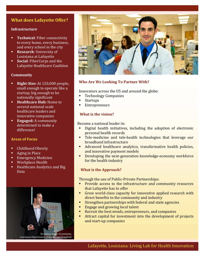## **What does Lafayette Offer?**

#### **Infrastructure**

- **Technical:** Fiber connectivity to every home, every business, and every school in the city
- **Research:** University of Louisiana at Lafayette
- **Social:** FiberCorps and the Lafayette Healthcare Coalition

#### **Community**

- **Right-Size:** At 120,000 people, small enough to operate like a startup; big enough to be nationally significant
- **Healthcare Hub:** Home to several national-scale healthcare leaders and innovative companies
- **Engaged:** A community determined to make a differencel

#### **Areas of Focus**

- **-** Childhood Obesity
- Aging in Place
- Emergency Medicine
- Workplace Health
- Healthcare Analytics and Big Data



Louisiana Department of Health and Hospitals



#### **Who Are We Looking To Partner With?**

Innovators across the US and around the globe:

- **Technology Companies**
- **Startups**
- Entrepreneurs

#### **What is the vision?**

Become a national leader in:

- Digital health initiatives, including the adoption of electronic personal health records
- **Tele-medicine and tele-health technologies that leverage our** broadband infrastructure
- Advanced healthcare analytics, transformative health policies, and innovative payment models
- **•** Developing the next-generation knowledge-economy workforce for the health industry

#### **What is the Approach?**

Through the use of Public-Private Partnerships:

- **Provide access to the infrastructure and community resources** that Lafayette has to offer
- Grow world-class capacity for innovative applied research with direct benefits to the community and industry
- **Strengthen partnerships with federal and state agencies**
- **Engage and growing local talent**
- Recruit the best minds, entrepreneurs, and companies
- Attract capital for investment into the development of projects and start-up companies